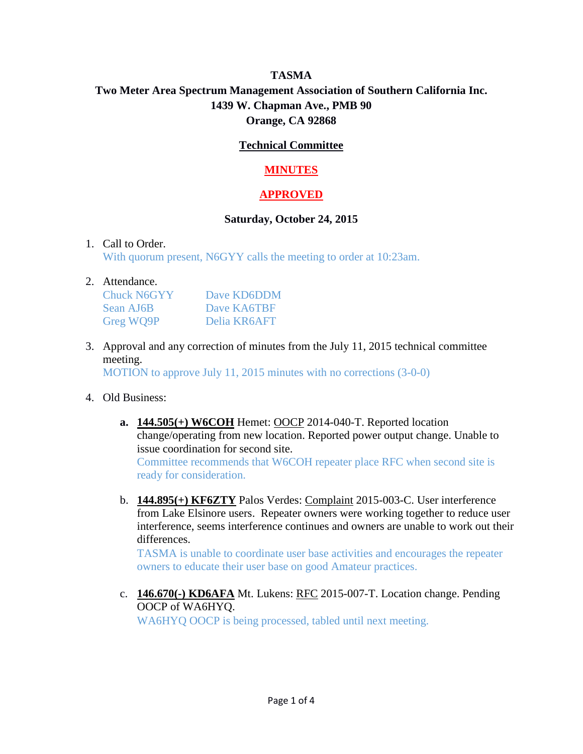# **TASMA Two Meter Area Spectrum Management Association of Southern California Inc. 1439 W. Chapman Ave., PMB 90 Orange, CA 92868**

### **Technical Committee**

## **MINUTES**

## **APPROVED**

### **Saturday, October 24, 2015**

#### 1. Call to Order.

With quorum present, N6GYY calls the meeting to order at 10:23am.

#### 2. Attendance.

| <b>Chuck N6GYY</b> | Dave KD6DDM  |
|--------------------|--------------|
| Sean AJ6B          | Dave KA6TBF  |
| Greg WQ9P          | Delia KR6AFT |

3. Approval and any correction of minutes from the July 11, 2015 technical committee meeting.

MOTION to approve July 11, 2015 minutes with no corrections (3-0-0)

### 4. Old Business:

- **a. 144.505(+) W6COH** Hemet: OOCP 2014-040-T. Reported location change/operating from new location. Reported power output change. Unable to issue coordination for second site. Committee recommends that W6COH repeater place RFC when second site is ready for consideration.
- b. **144.895(+) KF6ZTY** Palos Verdes: Complaint 2015-003-C. User interference from Lake Elsinore users. Repeater owners were working together to reduce user interference, seems interference continues and owners are unable to work out their differences.

TASMA is unable to coordinate user base activities and encourages the repeater owners to educate their user base on good Amateur practices.

c. **146.670(-) KD6AFA** Mt. Lukens: RFC 2015-007-T. Location change. Pending OOCP of WA6HYQ. WA6HYQ OOCP is being processed, tabled until next meeting.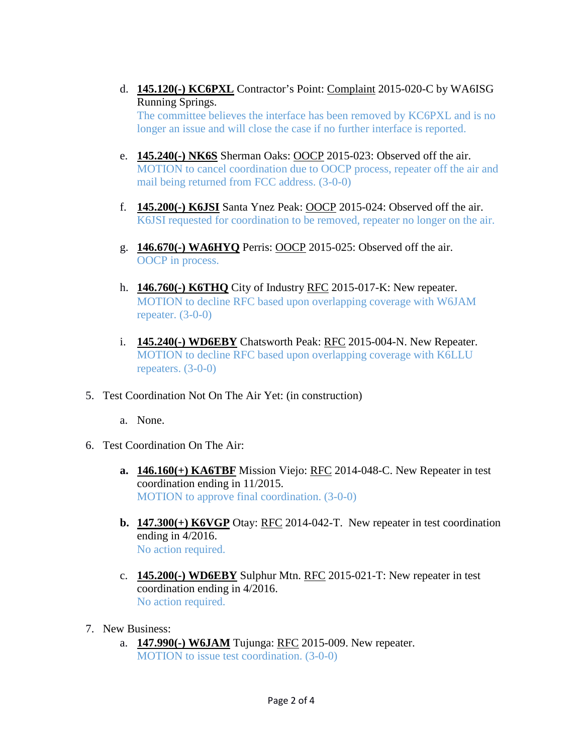- d. **145.120(-) KC6PXL** Contractor's Point: Complaint 2015-020-C by WA6ISG Running Springs. The committee believes the interface has been removed by KC6PXL and is no longer an issue and will close the case if no further interface is reported.
- e. **145.240(-) NK6S** Sherman Oaks: OOCP 2015-023: Observed off the air. MOTION to cancel coordination due to OOCP process, repeater off the air and mail being returned from FCC address. (3-0-0)
- f. **145.200(-) K6JSI** Santa Ynez Peak: OOCP 2015-024: Observed off the air. K6JSI requested for coordination to be removed, repeater no longer on the air.
- g. **146.670(-) WA6HYQ** Perris: OOCP 2015-025: Observed off the air. OOCP in process.
- h. **146.760(-) K6THQ** City of Industry RFC 2015-017-K: New repeater. MOTION to decline RFC based upon overlapping coverage with W6JAM repeater.  $(3-0-0)$
- i. **145.240(-) WD6EBY** Chatsworth Peak: RFC 2015-004-N. New Repeater. MOTION to decline RFC based upon overlapping coverage with K6LLU repeaters. (3-0-0)
- 5. Test Coordination Not On The Air Yet: (in construction)
	- a. None.
- 6. Test Coordination On The Air:
	- **a. 146.160(+) KA6TBF** Mission Viejo: RFC 2014-048-C. New Repeater in test coordination ending in 11/2015. MOTION to approve final coordination. (3-0-0)
	- **b. 147.300(+) K6VGP** Otay: RFC 2014-042-T. New repeater in test coordination ending in 4/2016. No action required.
	- c. **145.200(-) WD6EBY** Sulphur Mtn. RFC 2015-021-T: New repeater in test coordination ending in 4/2016. No action required.
- 7. New Business:
	- a. **147.990(-) W6JAM** Tujunga: RFC 2015-009. New repeater. MOTION to issue test coordination. (3-0-0)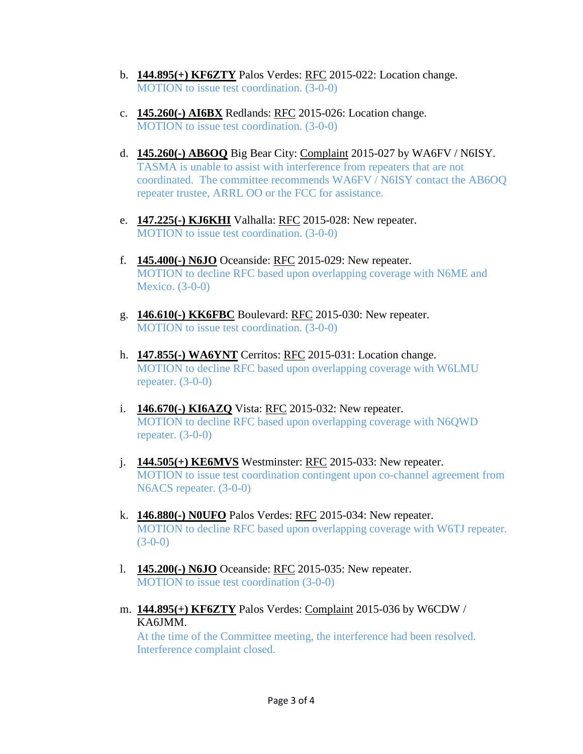- b. **144.895(+) KF6ZTY** Palos Verdes: RFC 2015-022: Location change. MOTION to issue test coordination. (3-0-0)
- c. **145.260(-) AI6BX** Redlands: RFC 2015-026: Location change. MOTION to issue test coordination. (3-0-0)
- d. **145.260(-) AB6OQ** Big Bear City: Complaint 2015-027 by WA6FV / N6ISY. TASMA is unable to assist with interference from repeaters that are not coordinated. The committee recommends WA6FV / N6ISY contact the AB6OQ repeater trustee, ARRL OO or the FCC for assistance.
- e. **147.225(-) KJ6KHI** Valhalla: RFC 2015-028: New repeater. MOTION to issue test coordination. (3-0-0)
- f. **145.400(-) N6JO** Oceanside: RFC 2015-029: New repeater. MOTION to decline RFC based upon overlapping coverage with N6ME and Mexico. (3-0-0)
- g. **146.610(-) KK6FBC** Boulevard: RFC 2015-030: New repeater. MOTION to issue test coordination. (3-0-0)
- h. **147.855(-) WA6YNT** Cerritos: RFC 2015-031: Location change. MOTION to decline RFC based upon overlapping coverage with W6LMU repeater.  $(3-0-0)$
- i. **146.670(-) KI6AZQ** Vista: RFC 2015-032: New repeater. MOTION to decline RFC based upon overlapping coverage with N6QWD repeater. (3-0-0)
- j. **144.505(+) KE6MVS** Westminster: RFC 2015-033: New repeater. MOTION to issue test coordination contingent upon co-channel agreement from N6ACS repeater. (3-0-0)
- k. **146.880(-) N0UFO** Palos Verdes: RFC 2015-034: New repeater. MOTION to decline RFC based upon overlapping coverage with W6TJ repeater.  $(3-0-0)$
- l. **145.200(-) N6JO** Oceanside: RFC 2015-035: New repeater. MOTION to issue test coordination (3-0-0)
- m. **144.895(+) KF6ZTY** Palos Verdes: Complaint 2015-036 by W6CDW / KA6JMM.

At the time of the Committee meeting, the interference had been resolved. Interference complaint closed.